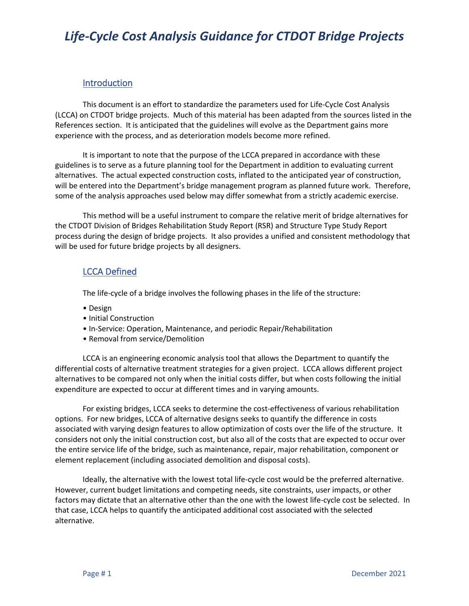### **Introduction**

This document is an effort to standardize the parameters used for Life-Cycle Cost Analysis (LCCA) on CTDOT bridge projects. Much of this material has been adapted from the sources listed in the [References](#page-18-0) section. It is anticipated that the guidelines will evolve as the Department gains more experience with the process, and as deterioration models become more refined.

It is important to note that the purpose of the LCCA prepared in accordance with these guidelines is to serve as a future planning tool for the Department in addition to evaluating current alternatives. The actual expected construction costs, inflated to the anticipated year of construction, will be entered into the Department's bridge management program as planned future work. Therefore, some of the analysis approaches used below may differ somewhat from a strictly academic exercise.

This method will be a useful instrument to compare the relative merit of bridge alternatives for the CTDOT Division of Bridges Rehabilitation Study Report (RSR) and Structure Type Study Report process during the design of bridge projects. It also provides a unified and consistent methodology that will be used for future bridge projects by all designers.

### LCCA Defined

The life-cycle of a bridge involves the following phases in the life of the structure:

- Design
- Initial Construction
- In-Service: Operation, Maintenance, and periodic Repair/Rehabilitation
- Removal from service/Demolition

LCCA is an engineering economic analysis tool that allows the Department to quantify the differential costs of alternative treatment strategies for a given project. LCCA allows different project alternatives to be compared not only when the initial costs differ, but when costs following the initial expenditure are expected to occur at different times and in varying amounts.

For existing bridges, LCCA seeks to determine the cost-effectiveness of various rehabilitation options. For new bridges, LCCA of alternative designs seeks to quantify the difference in costs associated with varying design features to allow optimization of costs over the life of the structure. It considers not only the initial construction cost, but also all of the costs that are expected to occur over the entire service life of the bridge, such as maintenance, repair, major rehabilitation, component or element replacement (including associated demolition and disposal costs).

Ideally, the alternative with the lowest total life-cycle cost would be the preferred alternative. However, current budget limitations and competing needs, site constraints, user impacts, or other factors may dictate that an alternative other than the one with the lowest life-cycle cost be selected. In that case, LCCA helps to quantify the anticipated additional cost associated with the selected alternative.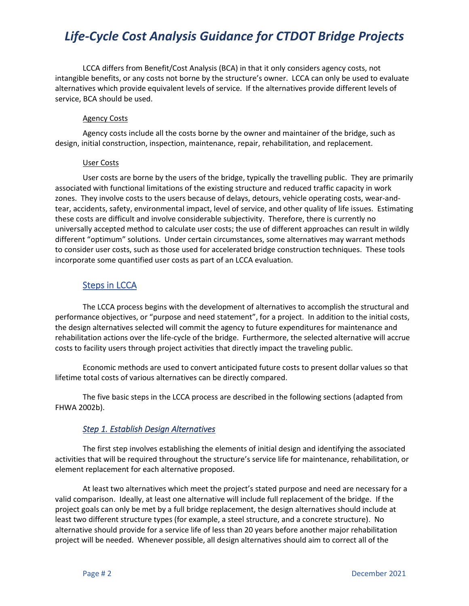LCCA differs from Benefit/Cost Analysis (BCA) in that it only considers agency costs, not intangible benefits, or any costs not borne by the structure's owner. LCCA can only be used to evaluate alternatives which provide equivalent levels of service. If the alternatives provide different levels of service, BCA should be used.

#### Agency Costs

Agency costs include all the costs borne by the owner and maintainer of the bridge, such as design, initial construction, inspection, maintenance, repair, rehabilitation, and replacement.

#### User Costs

User costs are borne by the users of the bridge, typically the travelling public. They are primarily associated with functional limitations of the existing structure and reduced traffic capacity in work zones. They involve costs to the users because of delays, detours, vehicle operating costs, wear-andtear, accidents, safety, environmental impact, level of service, and other quality of life issues. Estimating these costs are difficult and involve considerable subjectivity. Therefore, there is currently no universally accepted method to calculate user costs; the use of different approaches can result in wildly different "optimum" solutions. Under certain circumstances, some alternatives may warrant methods to consider user costs, such as those used for accelerated bridge construction techniques. These tools incorporate some quantified user costs as part of an LCCA evaluation.

### **Steps in LCCA**

The LCCA process begins with the development of alternatives to accomplish the structural and performance objectives, or "purpose and need statement", for a project. In addition to the initial costs, the design alternatives selected will commit the agency to future expenditures for maintenance and rehabilitation actions over the life-cycle of the bridge. Furthermore, the selected alternative will accrue costs to facility users through project activities that directly impact the traveling public.

Economic methods are used to convert anticipated future costs to present dollar values so that lifetime total costs of various alternatives can be directly compared.

The five basic steps in the LCCA process are described in the following sections (adapted from FHWA 2002b).

### *Step 1. Establish Design Alternatives*

The first step involves establishing the elements of initial design and identifying the associated activities that will be required throughout the structure's service life for maintenance, rehabilitation, or element replacement for each alternative proposed.

At least two alternatives which meet the project's stated purpose and need are necessary for a valid comparison. Ideally, at least one alternative will include full replacement of the bridge. If the project goals can only be met by a full bridge replacement, the design alternatives should include at least two different structure types (for example, a steel structure, and a concrete structure). No alternative should provide for a service life of less than 20 years before another major rehabilitation project will be needed. Whenever possible, all design alternatives should aim to correct all of the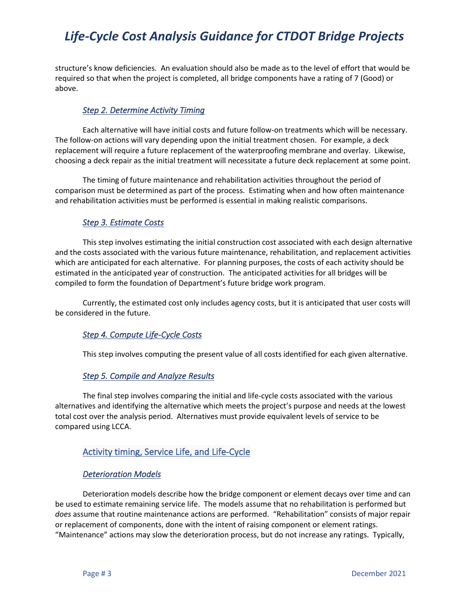structure's know deficiencies. An evaluation should also be made as to the level of effort that would be required so that when the project is completed, all bridge components have a rating of 7 (Good) or above.

### *Step 2. Determine Activity Timing*

Each alternative will have initial costs and future follow-on treatments which will be necessary. The follow-on actions will vary depending upon the initial treatment chosen. For example, a deck replacement will require a future replacement of the waterproofing membrane and overlay. Likewise, choosing a deck repair as the initial treatment will necessitate a future deck replacement at some point.

The timing of future maintenance and rehabilitation activities throughout the period of comparison must be determined as part of the process. Estimating when and how often maintenance and rehabilitation activities must be performed is essential in making realistic comparisons.

#### *Step 3. Estimate Costs*

This step involves estimating the initial construction cost associated with each design alternative and the costs associated with the various future maintenance, rehabilitation, and replacement activities which are anticipated for each alternative. For planning purposes, the costs of each activity should be estimated in the anticipated year of construction. The anticipated activities for all bridges will be compiled to form the foundation of Department's future bridge work program.

Currently, the estimated cost only includes agency costs, but it is anticipated that user costs will be considered in the future.

#### *Step 4. Compute Life-Cycle Costs*

This step involves computing the present value of all costs identified for each given alternative.

#### *Step 5. Compile and Analyze Results*

The final step involves comparing the initial and life-cycle costs associated with the various alternatives and identifying the alternative which meets the project's purpose and needs at the lowest total cost over the analysis period. Alternatives must provide equivalent levels of service to be compared using LCCA.

#### Activity timing, Service Life, and Life-Cycle

#### *Deterioration Models*

Deterioration models describe how the bridge component or element decays over time and can be used to estimate remaining service life. The models assume that no rehabilitation is performed but *does* assume that routine maintenance actions are performed. "Rehabilitation" consists of major repair or replacement of components, done with the intent of raising component or element ratings. "Maintenance" actions may slow the deterioration process, but do not increase any ratings. Typically,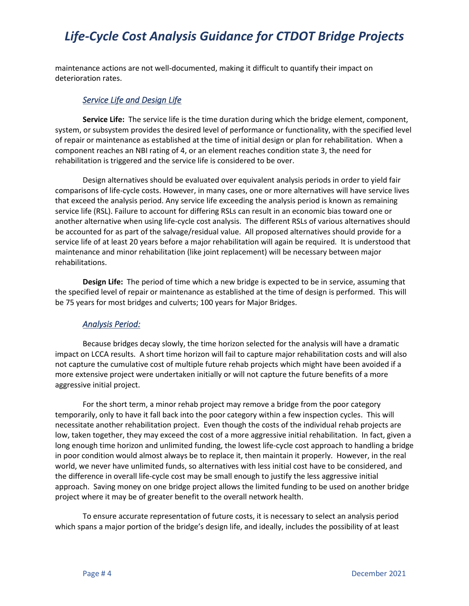maintenance actions are not well-documented, making it difficult to quantify their impact on deterioration rates.

#### *Service Life and Design Life*

**Service Life:** The service life is the time duration during which the bridge element, component, system, or subsystem provides the desired level of performance or functionality, with the specified level of repair or maintenance as established at the time of initial design or plan for rehabilitation. When a component reaches an NBI rating of 4, or an element reaches condition state 3, the need for rehabilitation is triggered and the service life is considered to be over.

Design alternatives should be evaluated over equivalent analysis periods in order to yield fair comparisons of life-cycle costs. However, in many cases, one or more alternatives will have service lives that exceed the analysis period. Any service life exceeding the analysis period is known as remaining service life (RSL). Failure to account for differing RSLs can result in an economic bias toward one or another alternative when using life-cycle cost analysis. The different RSLs of various alternatives should be accounted for as part of the salvage/residual value. All proposed alternatives should provide for a service life of at least 20 years before a major rehabilitation will again be required. It is understood that maintenance and minor rehabilitation (like joint replacement) will be necessary between major rehabilitations.

**Design Life:** The period of time which a new bridge is expected to be in service, assuming that the specified level of repair or maintenance as established at the time of design is performed. This will be 75 years for most bridges and culverts; 100 years for Major Bridges.

#### *Analysis Period:*

Because bridges decay slowly, the time horizon selected for the analysis will have a dramatic impact on LCCA results. A short time horizon will fail to capture major rehabilitation costs and will also not capture the cumulative cost of multiple future rehab projects which might have been avoided if a more extensive project were undertaken initially or will not capture the future benefits of a more aggressive initial project.

For the short term, a minor rehab project may remove a bridge from the poor category temporarily, only to have it fall back into the poor category within a few inspection cycles. This will necessitate another rehabilitation project. Even though the costs of the individual rehab projects are low, taken together, they may exceed the cost of a more aggressive initial rehabilitation. In fact, given a long enough time horizon and unlimited funding, the lowest life-cycle cost approach to handling a bridge in poor condition would almost always be to replace it, then maintain it properly. However, in the real world, we never have unlimited funds, so alternatives with less initial cost have to be considered, and the difference in overall life-cycle cost may be small enough to justify the less aggressive initial approach. Saving money on one bridge project allows the limited funding to be used on another bridge project where it may be of greater benefit to the overall network health.

To ensure accurate representation of future costs, it is necessary to select an analysis period which spans a major portion of the bridge's design life, and ideally, includes the possibility of at least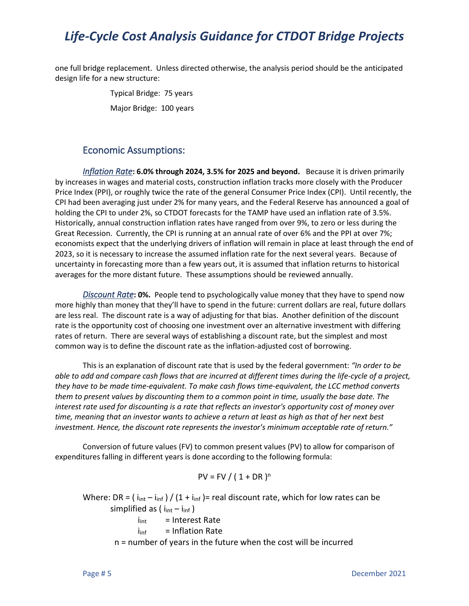one full bridge replacement. Unless directed otherwise, the analysis period should be the anticipated design life for a new structure:

> Typical Bridge: 75 years Major Bridge: 100 years

## Economic Assumptions:

*Inflation Rate***: 6.0% through 2024, 3.5% for 2025 and beyond.** Because it is driven primarily by increases in wages and material costs, construction inflation tracks more closely with the Producer Price Index (PPI), or roughly twice the rate of the general Consumer Price Index (CPI). Until recently, the CPI had been averaging just under 2% for many years, and the Federal Reserve has announced a goal of holding the CPI to under 2%, so CTDOT forecasts for the TAMP have used an inflation rate of 3.5%. Historically, annual construction inflation rates have ranged from over 9%, to zero or less during the Great Recession. Currently, the CPI is running at an annual rate of over 6% and the PPI at over 7%; economists expect that the underlying drivers of inflation will remain in place at least through the end of 2023, so it is necessary to increase the assumed inflation rate for the next several years. Because of uncertainty in forecasting more than a few years out, it is assumed that inflation returns to historical averages for the more distant future. These assumptions should be reviewed annually.

*Discount Rate***: 0%.** People tend to psychologically value money that they have to spend now more highly than money that they'll have to spend in the future: current dollars are real, future dollars are less real. The discount rate is a way of adjusting for that bias. Another definition of the discount rate is the opportunity cost of choosing one investment over an alternative investment with differing rates of return. There are several ways of establishing a discount rate, but the simplest and most common way is to define the discount rate as the inflation-adjusted cost of borrowing.

This is an explanation of discount rate that is used by the federal government: *"In order to be able to add and compare cash flows that are incurred at different times during the life-cycle of a project, they have to be made time-equivalent. To make cash flows time-equivalent, the LCC method converts them to present values by discounting them to a common point in time, usually the base date. The interest rate used for discounting is a rate that reflects an investor's opportunity cost of money over time, meaning that an investor wants to achieve a return at least as high as that of her next best investment. Hence, the discount rate represents the investor's minimum acceptable rate of return."*

Conversion of future values (FV) to common present values (PV) to allow for comparison of expenditures falling in different years is done according to the following formula:

$$
PV = FV / (1 + DR)^n
$$

Where: DR =  $(i_{int} - i_{inf}) / (1 + i_{inf})$  = real discount rate, which for low rates can be simplified as  $(i_{int} - i_{inf})$  $i_{int}$  = Interest Rate  $i<sub>inf</sub>$  = Inflation Rate

n = number of years in the future when the cost will be incurred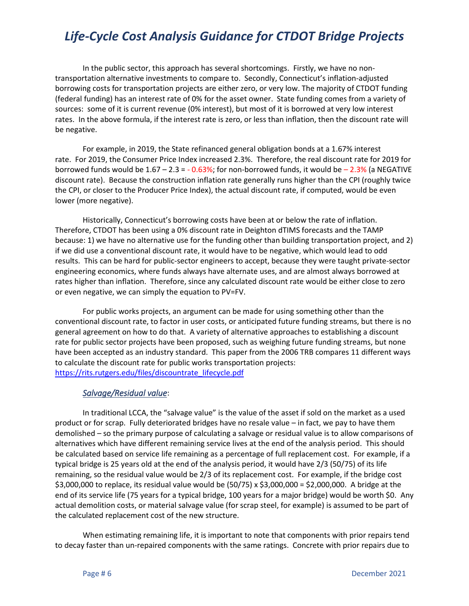In the public sector, this approach has several shortcomings. Firstly, we have no nontransportation alternative investments to compare to. Secondly, Connecticut's inflation-adjusted borrowing costs for transportation projects are either zero, or very low. The majority of CTDOT funding (federal funding) has an interest rate of 0% for the asset owner. State funding comes from a variety of sources: some of it is current revenue (0% interest), but most of it is borrowed at very low interest rates. In the above formula, if the interest rate is zero, or less than inflation, then the discount rate will be negative.

For example, in 2019, the State refinanced general obligation bonds at a 1.67% interest rate. For 2019, the Consumer Price Index increased 2.3%. Therefore, the real discount rate for 2019 for borrowed funds would be  $1.67 - 2.3 = -0.63\%$ ; for non-borrowed funds, it would be  $-2.3\%$  (a NEGATIVE discount rate). Because the construction inflation rate generally runs higher than the CPI (roughly twice the CPI, or closer to the Producer Price Index), the actual discount rate, if computed, would be even lower (more negative).

Historically, Connecticut's borrowing costs have been at or below the rate of inflation. Therefore, CTDOT has been using a 0% discount rate in Deighton dTIMS forecasts and the TAMP because: 1) we have no alternative use for the funding other than building transportation project, and 2) if we did use a conventional discount rate, it would have to be negative, which would lead to odd results. This can be hard for public-sector engineers to accept, because they were taught private-sector engineering economics, where funds always have alternate uses, and are almost always borrowed at rates higher than inflation. Therefore, since any calculated discount rate would be either close to zero or even negative, we can simply the equation to PV=FV.

For public works projects, an argument can be made for using something other than the conventional discount rate, to factor in user costs, or anticipated future funding streams, but there is no general agreement on how to do that. A variety of alternative approaches to establishing a discount rate for public sector projects have been proposed, such as weighing future funding streams, but none have been accepted as an industry standard. This paper from the 2006 TRB compares 11 different ways to calculate the discount rate for public works transportation projects: [https://rits.rutgers.edu/files/discountrate\\_lifecycle.pdf](https://rits.rutgers.edu/files/discountrate_lifecycle.pdf)

#### *Salvage/Residual value*:

In traditional LCCA, the "salvage value" is the value of the asset if sold on the market as a used product or for scrap. Fully deteriorated bridges have no resale value – in fact, we pay to have them demolished – so the primary purpose of calculating a salvage or residual value is to allow comparisons of alternatives which have different remaining service lives at the end of the analysis period. This should be calculated based on service life remaining as a percentage of full replacement cost. For example, if a typical bridge is 25 years old at the end of the analysis period, it would have 2/3 (50/75) of its life remaining, so the residual value would be 2/3 of its replacement cost. For example, if the bridge cost \$3,000,000 to replace, its residual value would be (50/75) x \$3,000,000 = \$2,000,000. A bridge at the end of its service life (75 years for a typical bridge, 100 years for a major bridge) would be worth \$0. Any actual demolition costs, or material salvage value (for scrap steel, for example) is assumed to be part of the calculated replacement cost of the new structure.

When estimating remaining life, it is important to note that components with prior repairs tend to decay faster than un-repaired components with the same ratings. Concrete with prior repairs due to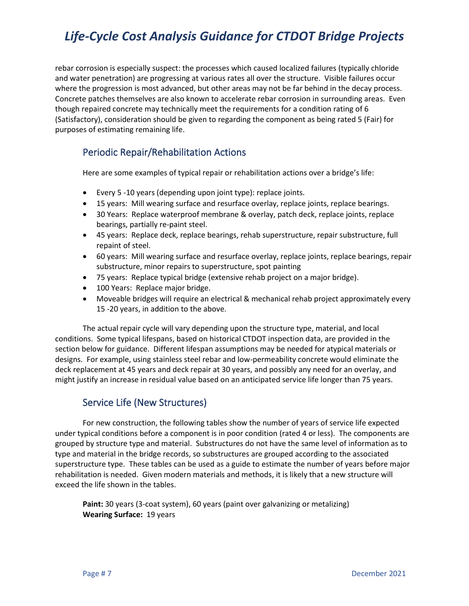rebar corrosion is especially suspect: the processes which caused localized failures (typically chloride and water penetration) are progressing at various rates all over the structure. Visible failures occur where the progression is most advanced, but other areas may not be far behind in the decay process. Concrete patches themselves are also known to accelerate rebar corrosion in surrounding areas. Even though repaired concrete may technically meet the requirements for a condition rating of 6 (Satisfactory), consideration should be given to regarding the component as being rated 5 (Fair) for purposes of estimating remaining life.

### Periodic Repair/Rehabilitation Actions

Here are some examples of typical repair or rehabilitation actions over a bridge's life:

- Every 5 -10 years (depending upon joint type): replace joints.
- 15 years: Mill wearing surface and resurface overlay, replace joints, replace bearings.
- 30 Years: Replace waterproof membrane & overlay, patch deck, replace joints, replace bearings, partially re-paint steel.
- 45 years: Replace deck, replace bearings, rehab superstructure, repair substructure, full repaint of steel.
- 60 years: Mill wearing surface and resurface overlay, replace joints, replace bearings, repair substructure, minor repairs to superstructure, spot painting
- 75 years: Replace typical bridge (extensive rehab project on a major bridge).
- 100 Years: Replace major bridge.
- Moveable bridges will require an electrical & mechanical rehab project approximately every 15 -20 years, in addition to the above.

The actual repair cycle will vary depending upon the structure type, material, and local conditions. Some typical lifespans, based on historical CTDOT inspection data, are provided in the section below for guidance. Different lifespan assumptions may be needed for atypical materials or designs. For example, using stainless steel rebar and low-permeability concrete would eliminate the deck replacement at 45 years and deck repair at 30 years, and possibly any need for an overlay, and might justify an increase in residual value based on an anticipated service life longer than 75 years.

### Service Life (New Structures)

For new construction, the following tables show the number of years of service life expected under typical conditions before a component is in poor condition (rated 4 or less). The components are grouped by structure type and material. Substructures do not have the same level of information as to type and material in the bridge records, so substructures are grouped according to the associated superstructure type. These tables can be used as a guide to estimate the number of years before major rehabilitation is needed. Given modern materials and methods, it is likely that a new structure will exceed the life shown in the tables.

**Paint:** 30 years (3-coat system), 60 years (paint over galvanizing or metalizing) **Wearing Surface:** 19 years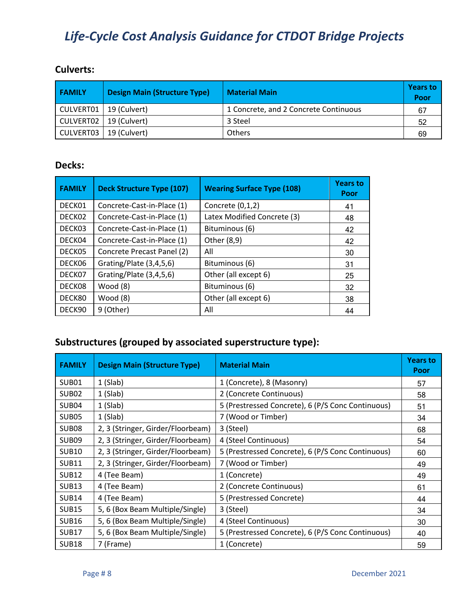## **Culverts:**

| <b>FAMILY</b> | <b>Design Main (Structure Type)</b> | <b>Material Main</b>                  | <b>Years to</b><br>Poor |
|---------------|-------------------------------------|---------------------------------------|-------------------------|
| CULVERT01     | 19 (Culvert)                        | 1 Concrete, and 2 Concrete Continuous | 67                      |
| CULVERT02     | 19 (Culvert)                        | 3 Steel                               | 52                      |
| CULVERT03     | 19 (Culvert)                        | <b>Others</b>                         | 69                      |

## **Decks:**

| <b>FAMILY</b> | <b>Deck Structure Type (107)</b> | <b>Wearing Surface Type (108)</b> | <b>Years to</b><br>Poor |
|---------------|----------------------------------|-----------------------------------|-------------------------|
| DECK01        | Concrete-Cast-in-Place (1)       | Concrete (0,1,2)                  | 41                      |
| DECK02        | Concrete-Cast-in-Place (1)       | Latex Modified Concrete (3)       | 48                      |
| DECK03        | Concrete-Cast-in-Place (1)       | Bituminous (6)                    | 42                      |
| DECK04        | Concrete-Cast-in-Place (1)       | Other (8,9)                       | 42                      |
| DECK05        | Concrete Precast Panel (2)       | All                               | 30                      |
| DECK06        | Grating/Plate (3,4,5,6)          | Bituminous (6)                    | 31                      |
| DECK07        | Grating/Plate (3,4,5,6)          | Other (all except 6)              | 25                      |
| DECK08        | Wood (8)                         | Bituminous (6)                    | 32                      |
| DECK80        | Wood (8)                         | Other (all except 6)              | 38                      |
| DECK90        | 9 (Other)                        | All                               | 44                      |

## **Substructures (grouped by associated superstructure type):**

| <b>FAMILY</b>     | <b>Design Main (Structure Type)</b> | <b>Material Main</b>                              | <b>Years to</b><br>Poor |
|-------------------|-------------------------------------|---------------------------------------------------|-------------------------|
| SUB <sub>01</sub> | $1$ (Slab)                          | 1 (Concrete), 8 (Masonry)                         | 57                      |
| SUB <sub>02</sub> | $1$ (Slab)                          | 2 (Concrete Continuous)                           | 58                      |
| SUB <sub>04</sub> | 1(Slab)                             | 5 (Prestressed Concrete), 6 (P/S Conc Continuous) | 51                      |
| SUB <sub>05</sub> | $1$ (Slab)                          | 7 (Wood or Timber)                                | 34                      |
| SUB <sub>08</sub> | 2, 3 (Stringer, Girder/Floorbeam)   | 3 (Steel)                                         | 68                      |
| SUB <sub>09</sub> | 2, 3 (Stringer, Girder/Floorbeam)   | 4 (Steel Continuous)                              | 54                      |
| <b>SUB10</b>      | 2, 3 (Stringer, Girder/Floorbeam)   | 5 (Prestressed Concrete), 6 (P/S Conc Continuous) | 60                      |
| <b>SUB11</b>      | 2, 3 (Stringer, Girder/Floorbeam)   | 7 (Wood or Timber)                                | 49                      |
| <b>SUB12</b>      | 4 (Tee Beam)                        | 1 (Concrete)                                      | 49                      |
| <b>SUB13</b>      | 4 (Tee Beam)                        | 2 (Concrete Continuous)                           | 61                      |
| <b>SUB14</b>      | 4 (Tee Beam)                        | 5 (Prestressed Concrete)                          | 44                      |
| <b>SUB15</b>      | 5, 6 (Box Beam Multiple/Single)     | 3 (Steel)                                         | 34                      |
| <b>SUB16</b>      | 5, 6 (Box Beam Multiple/Single)     | 4 (Steel Continuous)                              | 30                      |
| <b>SUB17</b>      | 5, 6 (Box Beam Multiple/Single)     | 5 (Prestressed Concrete), 6 (P/S Conc Continuous) | 40                      |
| <b>SUB18</b>      | 7 (Frame)                           | 1 (Concrete)                                      | 59                      |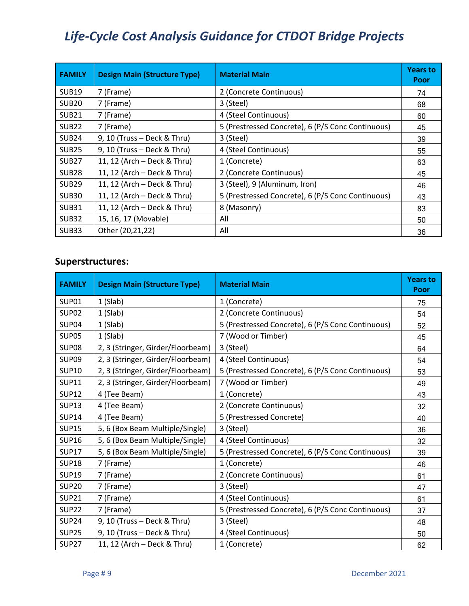| <b>FAMILY</b>     | <b>Design Main (Structure Type)</b> | <b>Material Main</b>                              | <b>Years to</b><br>Poor |
|-------------------|-------------------------------------|---------------------------------------------------|-------------------------|
| <b>SUB19</b>      | 7 (Frame)                           | 2 (Concrete Continuous)                           | 74                      |
| SUB <sub>20</sub> | 7 (Frame)                           | 3 (Steel)                                         | 68                      |
| <b>SUB21</b>      | 7 (Frame)                           | 4 (Steel Continuous)                              | 60                      |
| SUB <sub>22</sub> | 7 (Frame)                           | 5 (Prestressed Concrete), 6 (P/S Conc Continuous) | 45                      |
| SUB <sub>24</sub> | 9, 10 (Truss - Deck & Thru)         | 3 (Steel)                                         | 39                      |
| <b>SUB25</b>      | 9, 10 (Truss - Deck & Thru)         | 4 (Steel Continuous)                              | 55                      |
| <b>SUB27</b>      | 11, 12 (Arch – Deck & Thru)         | 1 (Concrete)                                      | 63                      |
| SUB <sub>28</sub> | 11, 12 (Arch - Deck & Thru)         | 2 (Concrete Continuous)                           | 45                      |
| <b>SUB29</b>      | 11, 12 (Arch - Deck & Thru)         | 3 (Steel), 9 (Aluminum, Iron)                     | 46                      |
| <b>SUB30</b>      | 11, 12 (Arch - Deck & Thru)         | 5 (Prestressed Concrete), 6 (P/S Conc Continuous) | 43                      |
| <b>SUB31</b>      | 11, 12 (Arch – Deck & Thru)         | 8 (Masonry)                                       | 83                      |
| <b>SUB32</b>      | 15, 16, 17 (Movable)                | All                                               | 50                      |
| <b>SUB33</b>      | Other (20,21,22)                    | All                                               | 36                      |

## **Superstructures:**

| <b>FAMILY</b>     | <b>Design Main (Structure Type)</b> | <b>Material Main</b>                              | <b>Years to</b><br>Poor |
|-------------------|-------------------------------------|---------------------------------------------------|-------------------------|
| SUP <sub>01</sub> | $1$ (Slab)                          | 1 (Concrete)                                      | 75                      |
| SUP <sub>02</sub> | 1(Slab)                             | 2 (Concrete Continuous)                           | 54                      |
| SUP04             | 1(Slab)                             | 5 (Prestressed Concrete), 6 (P/S Conc Continuous) | 52                      |
| <b>SUP05</b>      | $1$ (Slab)                          | 7 (Wood or Timber)                                | 45                      |
| SUP <sub>08</sub> | 2, 3 (Stringer, Girder/Floorbeam)   | 3 (Steel)                                         | 64                      |
| <b>SUP09</b>      | 2, 3 (Stringer, Girder/Floorbeam)   | 4 (Steel Continuous)                              | 54                      |
| <b>SUP10</b>      | 2, 3 (Stringer, Girder/Floorbeam)   | 5 (Prestressed Concrete), 6 (P/S Conc Continuous) | 53                      |
| <b>SUP11</b>      | 2, 3 (Stringer, Girder/Floorbeam)   | 7 (Wood or Timber)                                | 49                      |
| <b>SUP12</b>      | 4 (Tee Beam)                        | 1 (Concrete)                                      | 43                      |
| <b>SUP13</b>      | 4 (Tee Beam)                        | 2 (Concrete Continuous)                           | 32                      |
| <b>SUP14</b>      | 4 (Tee Beam)                        | 5 (Prestressed Concrete)                          | 40                      |
| <b>SUP15</b>      | 5, 6 (Box Beam Multiple/Single)     | 3 (Steel)                                         | 36                      |
| <b>SUP16</b>      | 5, 6 (Box Beam Multiple/Single)     | 4 (Steel Continuous)                              | 32                      |
| <b>SUP17</b>      | 5, 6 (Box Beam Multiple/Single)     | 5 (Prestressed Concrete), 6 (P/S Conc Continuous) | 39                      |
| <b>SUP18</b>      | 7 (Frame)                           | 1 (Concrete)                                      | 46                      |
| <b>SUP19</b>      | 7 (Frame)                           | 2 (Concrete Continuous)                           | 61                      |
| <b>SUP20</b>      | 7 (Frame)                           | 3 (Steel)                                         | 47                      |
| <b>SUP21</b>      | 7 (Frame)                           | 4 (Steel Continuous)                              | 61                      |
| <b>SUP22</b>      | 7 (Frame)                           | 5 (Prestressed Concrete), 6 (P/S Conc Continuous) | 37                      |
| <b>SUP24</b>      | 9, 10 (Truss - Deck & Thru)         | 3 (Steel)                                         | 48                      |
| <b>SUP25</b>      | 9, 10 (Truss - Deck & Thru)         | 4 (Steel Continuous)                              | 50                      |
| <b>SUP27</b>      | 11, 12 (Arch - Deck & Thru)         | 1 (Concrete)                                      | 62                      |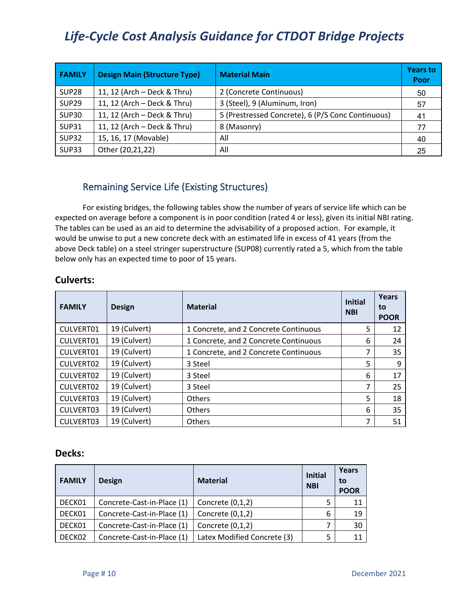| <b>FAMILY</b> | <b>Design Main (Structure Type)</b> | <b>Material Main</b>                              | <b>Years to</b><br>Poor |
|---------------|-------------------------------------|---------------------------------------------------|-------------------------|
| <b>SUP28</b>  | 11, 12 (Arch - Deck & Thru)         | 2 (Concrete Continuous)                           | 50                      |
| <b>SUP29</b>  | 11, 12 (Arch - Deck & Thru)         | 3 (Steel), 9 (Aluminum, Iron)                     | 57                      |
| <b>SUP30</b>  | 11, 12 (Arch - Deck & Thru)         | 5 (Prestressed Concrete), 6 (P/S Conc Continuous) | 41                      |
| <b>SUP31</b>  | 11, 12 (Arch - Deck & Thru)         | 8 (Masonry)                                       | 77                      |
| <b>SUP32</b>  | 15, 16, 17 (Movable)                | All                                               | 40                      |
| <b>SUP33</b>  | Other (20,21,22)                    | All                                               | 25                      |

## Remaining Service Life (Existing Structures)

For existing bridges, the following tables show the number of years of service life which can be expected on average before a component is in poor condition (rated 4 or less), given its initial NBI rating. The tables can be used as an aid to determine the advisability of a proposed action. For example, it would be unwise to put a new concrete deck with an estimated life in excess of 41 years (from the above Deck table) on a steel stringer superstructure (SUP08) currently rated a 5, which from the table below only has an expected time to poor of 15 years.

| <b>FAMILY</b> | <b>Design</b> | <b>Material</b>                       | <b>Initial</b><br><b>NBI</b> | <b>Years</b><br>to<br><b>POOR</b> |
|---------------|---------------|---------------------------------------|------------------------------|-----------------------------------|
| CULVERT01     | 19 (Culvert)  | 1 Concrete, and 2 Concrete Continuous | 5                            | 12                                |
| CULVERT01     | 19 (Culvert)  | 1 Concrete, and 2 Concrete Continuous | 6                            | 24                                |
| CULVERT01     | 19 (Culvert)  | 1 Concrete, and 2 Concrete Continuous | 7                            | 35                                |
| CULVERT02     | 19 (Culvert)  | 3 Steel                               | 5                            | 9                                 |
| CULVERT02     | 19 (Culvert)  | 3 Steel                               | 6                            | 17                                |
| CULVERT02     | 19 (Culvert)  | 3 Steel                               | ⇁                            | 25                                |
| CULVERT03     | 19 (Culvert)  | Others                                | 5                            | 18                                |
| CULVERT03     | 19 (Culvert)  | <b>Others</b>                         | 6                            | 35                                |
| CULVERT03     | 19 (Culvert)  | <b>Others</b>                         | 7                            | 51                                |

### **Culverts:**

### **Decks:**

| <b>FAMILY</b> | <b>Design</b>              | <b>Material</b>             | <b>Initial</b><br><b>NBI</b> | Years<br>to<br><b>POOR</b> |
|---------------|----------------------------|-----------------------------|------------------------------|----------------------------|
| DECK01        | Concrete-Cast-in-Place (1) | Concrete $(0,1,2)$          | 5                            | 11                         |
| DECK01        | Concrete-Cast-in-Place (1) | Concrete $(0,1,2)$          | 6                            | 19                         |
| DECK01        | Concrete-Cast-in-Place (1) | Concrete $(0,1,2)$          |                              | 30                         |
| DECK02        | Concrete-Cast-in-Place (1) | Latex Modified Concrete (3) | 5                            | 11                         |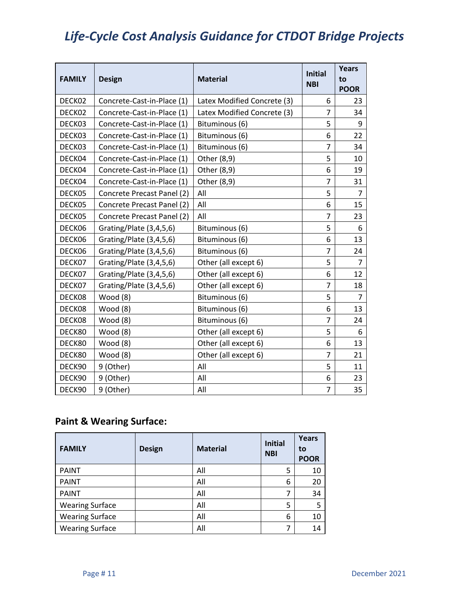| <b>FAMILY</b> | <b>Design</b>              | <b>Material</b>             | <b>Initial</b> | <b>Years</b><br>to |
|---------------|----------------------------|-----------------------------|----------------|--------------------|
|               |                            |                             | <b>NBI</b>     | <b>POOR</b>        |
| DECK02        | Concrete-Cast-in-Place (1) | Latex Modified Concrete (3) | 6              | 23                 |
| DECK02        | Concrete-Cast-in-Place (1) | Latex Modified Concrete (3) | 7              | 34                 |
| DECK03        | Concrete-Cast-in-Place (1) | Bituminous (6)              | 5              | 9                  |
| DECK03        | Concrete-Cast-in-Place (1) | Bituminous (6)              | 6              | 22                 |
| DECK03        | Concrete-Cast-in-Place (1) | Bituminous (6)              | $\overline{7}$ | 34                 |
| DECK04        | Concrete-Cast-in-Place (1) | Other (8,9)                 | 5              | 10                 |
| DECK04        | Concrete-Cast-in-Place (1) | Other (8,9)                 | 6              | 19                 |
| DECK04        | Concrete-Cast-in-Place (1) | Other (8,9)                 | 7              | 31                 |
| DECK05        | Concrete Precast Panel (2) | All                         | 5              | $\overline{7}$     |
| DECK05        | Concrete Precast Panel (2) | All                         | 6              | 15                 |
| DECK05        | Concrete Precast Panel (2) | All                         | 7              | 23                 |
| DECK06        | Grating/Plate (3,4,5,6)    | Bituminous (6)              | 5              | 6                  |
| DECK06        | Grating/Plate (3,4,5,6)    | Bituminous (6)              | 6              | 13                 |
| DECK06        | Grating/Plate (3,4,5,6)    | Bituminous (6)              | 7              | 24                 |
| DECK07        | Grating/Plate (3,4,5,6)    | Other (all except 6)        | 5              | $\overline{7}$     |
| DECK07        | Grating/Plate (3,4,5,6)    | Other (all except 6)        | 6              | 12                 |
| DECK07        | Grating/Plate (3,4,5,6)    | Other (all except 6)        | $\overline{7}$ | 18                 |
| DECK08        | Wood (8)                   | Bituminous (6)              | 5              | $\overline{7}$     |
| DECK08        | Wood (8)                   | Bituminous (6)              | 6              | 13                 |
| DECK08        | Wood (8)                   | Bituminous (6)              | 7              | 24                 |
| DECK80        | Wood $(8)$                 | Other (all except 6)        | 5              | 6                  |
| DECK80        | Wood (8)                   | Other (all except 6)        | 6              | 13                 |
| DECK80        | Wood (8)                   | Other (all except 6)        | 7              | 21                 |
| DECK90        | 9 (Other)                  | All                         | 5              | 11                 |
| DECK90        | 9 (Other)                  | All                         | 6              | 23                 |
| DECK90        | 9 (Other)                  | All                         | 7              | 35                 |

## **Paint & Wearing Surface:**

| <b>FAMILY</b>          | <b>Design</b> | <b>Material</b> | <b>Initial</b><br><b>NBI</b> | <b>Years</b><br>to<br><b>POOR</b> |
|------------------------|---------------|-----------------|------------------------------|-----------------------------------|
| <b>PAINT</b>           |               | All             | 5                            | 10                                |
| <b>PAINT</b>           |               | All             | 6                            | 20                                |
| <b>PAINT</b>           |               | All             |                              | 34                                |
| <b>Wearing Surface</b> |               | All             | 5                            | 5                                 |
| <b>Wearing Surface</b> |               | All             | 6                            | 10                                |
| <b>Wearing Surface</b> |               | All             |                              | 14                                |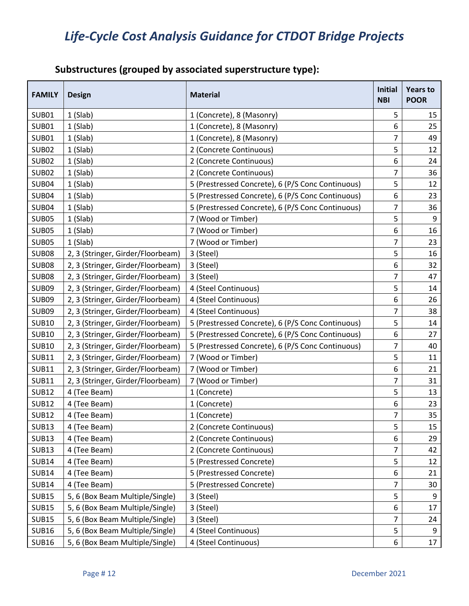## **Substructures (grouped by associated superstructure type):**

| <b>FAMILY</b> | <b>Design</b>                     | <b>Material</b>                                   | <b>Initial</b><br><b>NBI</b> | <b>Years to</b><br><b>POOR</b> |
|---------------|-----------------------------------|---------------------------------------------------|------------------------------|--------------------------------|
| <b>SUB01</b>  | $1$ (Slab)                        | 1 (Concrete), 8 (Masonry)                         | 5                            | 15                             |
| <b>SUB01</b>  | $1$ (Slab)                        | 1 (Concrete), 8 (Masonry)                         | 6                            | 25                             |
| <b>SUB01</b>  | $1$ (Slab)                        | 1 (Concrete), 8 (Masonry)                         | 7                            | 49                             |
| <b>SUB02</b>  | $1$ (Slab)                        | 2 (Concrete Continuous)                           | 5                            | 12                             |
| <b>SUB02</b>  | $1$ (Slab)                        | 2 (Concrete Continuous)                           | 6                            | 24                             |
| <b>SUB02</b>  | 1 (Slab)                          | 2 (Concrete Continuous)                           | $\overline{7}$               | 36                             |
| <b>SUB04</b>  | $1$ (Slab)                        | 5 (Prestressed Concrete), 6 (P/S Conc Continuous) | 5                            | 12                             |
| <b>SUB04</b>  | 1 (Slab)                          | 5 (Prestressed Concrete), 6 (P/S Conc Continuous) | 6                            | 23                             |
| <b>SUB04</b>  | $1$ (Slab)                        | 5 (Prestressed Concrete), 6 (P/S Conc Continuous) | $\overline{7}$               | 36                             |
| <b>SUB05</b>  | 1 (Slab)                          | 7 (Wood or Timber)                                | 5                            | 9                              |
| <b>SUB05</b>  | $1$ (Slab)                        | 7 (Wood or Timber)                                | 6                            | 16                             |
| <b>SUB05</b>  | $1$ (Slab)                        | 7 (Wood or Timber)                                | 7                            | 23                             |
| <b>SUB08</b>  | 2, 3 (Stringer, Girder/Floorbeam) | 3 (Steel)                                         | 5                            | 16                             |
| <b>SUB08</b>  | 2, 3 (Stringer, Girder/Floorbeam) | 3 (Steel)                                         | 6                            | 32                             |
| <b>SUB08</b>  | 2, 3 (Stringer, Girder/Floorbeam) | 3 (Steel)                                         | 7                            | 47                             |
| <b>SUB09</b>  | 2, 3 (Stringer, Girder/Floorbeam) | 4 (Steel Continuous)                              | 5                            | 14                             |
| <b>SUB09</b>  | 2, 3 (Stringer, Girder/Floorbeam) | 4 (Steel Continuous)                              | 6                            | 26                             |
| <b>SUB09</b>  | 2, 3 (Stringer, Girder/Floorbeam) | 4 (Steel Continuous)                              | 7                            | 38                             |
| <b>SUB10</b>  | 2, 3 (Stringer, Girder/Floorbeam) | 5 (Prestressed Concrete), 6 (P/S Conc Continuous) | 5                            | 14                             |
| <b>SUB10</b>  | 2, 3 (Stringer, Girder/Floorbeam) | 5 (Prestressed Concrete), 6 (P/S Conc Continuous) | 6                            | 27                             |
| <b>SUB10</b>  | 2, 3 (Stringer, Girder/Floorbeam) | 5 (Prestressed Concrete), 6 (P/S Conc Continuous) | $\overline{7}$               | 40                             |
| <b>SUB11</b>  | 2, 3 (Stringer, Girder/Floorbeam) | 7 (Wood or Timber)                                | 5                            | 11                             |
| <b>SUB11</b>  | 2, 3 (Stringer, Girder/Floorbeam) | 7 (Wood or Timber)                                | 6                            | 21                             |
| <b>SUB11</b>  | 2, 3 (Stringer, Girder/Floorbeam) | 7 (Wood or Timber)                                | $\overline{7}$               | 31                             |
| <b>SUB12</b>  | 4 (Tee Beam)                      | 1 (Concrete)                                      | 5                            | 13                             |
| <b>SUB12</b>  | 4 (Tee Beam)                      | 1 (Concrete)                                      | 6                            | 23                             |
| <b>SUB12</b>  | 4 (Tee Beam)                      | 1 (Concrete)                                      | 7                            | 35                             |
| <b>SUB13</b>  | 4 (Tee Beam)                      | 2 (Concrete Continuous)                           | 5                            | 15                             |
| <b>SUB13</b>  | 4 (Tee Beam)                      | 2 (Concrete Continuous)                           | 6                            | 29                             |
| <b>SUB13</b>  | 4 (Tee Beam)                      | 2 (Concrete Continuous)                           | 7                            | 42                             |
| <b>SUB14</b>  | 4 (Tee Beam)                      | 5 (Prestressed Concrete)                          | 5                            | 12                             |
| <b>SUB14</b>  | 4 (Tee Beam)                      | 5 (Prestressed Concrete)                          | 6                            | 21                             |
| <b>SUB14</b>  | 4 (Tee Beam)                      | 5 (Prestressed Concrete)                          | 7                            | 30                             |
| <b>SUB15</b>  | 5, 6 (Box Beam Multiple/Single)   | 3 (Steel)                                         | 5                            | 9                              |
| <b>SUB15</b>  | 5, 6 (Box Beam Multiple/Single)   | 3 (Steel)                                         | 6                            | 17                             |
| <b>SUB15</b>  | 5, 6 (Box Beam Multiple/Single)   | 3 (Steel)                                         | 7                            | 24                             |
| <b>SUB16</b>  | 5, 6 (Box Beam Multiple/Single)   | 4 (Steel Continuous)                              | 5                            | 9                              |
| <b>SUB16</b>  | 5, 6 (Box Beam Multiple/Single)   | 4 (Steel Continuous)                              | 6                            | 17                             |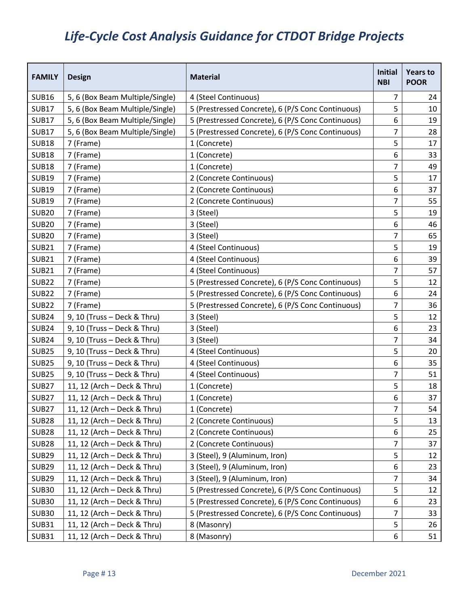| <b>FAMILY</b> | <b>Design</b>                   | <b>Material</b>                                   | <b>Initial</b><br><b>NBI</b> | <b>Years to</b><br><b>POOR</b> |
|---------------|---------------------------------|---------------------------------------------------|------------------------------|--------------------------------|
| <b>SUB16</b>  | 5, 6 (Box Beam Multiple/Single) | 4 (Steel Continuous)                              | 7                            | 24                             |
| <b>SUB17</b>  | 5, 6 (Box Beam Multiple/Single) | 5 (Prestressed Concrete), 6 (P/S Conc Continuous) | 5                            | 10                             |
| <b>SUB17</b>  | 5, 6 (Box Beam Multiple/Single) | 5 (Prestressed Concrete), 6 (P/S Conc Continuous) | 6                            | 19                             |
| <b>SUB17</b>  | 5, 6 (Box Beam Multiple/Single) | 5 (Prestressed Concrete), 6 (P/S Conc Continuous) | 7                            | 28                             |
| <b>SUB18</b>  | 7 (Frame)                       | 1 (Concrete)                                      | 5                            | 17                             |
| <b>SUB18</b>  | 7 (Frame)                       | 1 (Concrete)                                      | 6                            | 33                             |
| <b>SUB18</b>  | 7 (Frame)                       | 1 (Concrete)                                      | 7                            | 49                             |
| <b>SUB19</b>  | 7 (Frame)                       | 2 (Concrete Continuous)                           | 5                            | 17                             |
| <b>SUB19</b>  | 7 (Frame)                       | 2 (Concrete Continuous)                           | 6                            | 37                             |
| <b>SUB19</b>  | 7 (Frame)                       | 2 (Concrete Continuous)                           | 7                            | 55                             |
| <b>SUB20</b>  | 7 (Frame)                       | 3 (Steel)                                         | 5                            | 19                             |
| <b>SUB20</b>  | 7 (Frame)                       | 3 (Steel)                                         | 6                            | 46                             |
| <b>SUB20</b>  | 7 (Frame)                       | 3 (Steel)                                         | 7                            | 65                             |
| <b>SUB21</b>  | 7 (Frame)                       | 4 (Steel Continuous)                              | 5                            | 19                             |
| <b>SUB21</b>  | 7 (Frame)                       | 4 (Steel Continuous)                              | 6                            | 39                             |
| <b>SUB21</b>  | 7 (Frame)                       | 4 (Steel Continuous)                              | 7                            | 57                             |
| <b>SUB22</b>  | 7 (Frame)                       | 5 (Prestressed Concrete), 6 (P/S Conc Continuous) | 5                            | 12                             |
| <b>SUB22</b>  | 7 (Frame)                       | 5 (Prestressed Concrete), 6 (P/S Conc Continuous) | 6                            | 24                             |
| <b>SUB22</b>  | 7 (Frame)                       | 5 (Prestressed Concrete), 6 (P/S Conc Continuous) | 7                            | 36                             |
| <b>SUB24</b>  | 9, 10 (Truss - Deck & Thru)     | 3 (Steel)                                         | 5                            | 12                             |
| <b>SUB24</b>  | 9, 10 (Truss - Deck & Thru)     | 3 (Steel)                                         | 6                            | 23                             |
| <b>SUB24</b>  | 9, 10 (Truss - Deck & Thru)     | 3 (Steel)                                         | 7                            | 34                             |
| <b>SUB25</b>  | 9, 10 (Truss - Deck & Thru)     | 4 (Steel Continuous)                              | 5                            | 20                             |
| <b>SUB25</b>  | 9, 10 (Truss - Deck & Thru)     | 4 (Steel Continuous)                              | 6                            | 35                             |
| <b>SUB25</b>  | 9, 10 (Truss - Deck & Thru)     | 4 (Steel Continuous)                              | 7                            | 51                             |
| <b>SUB27</b>  | 11, 12 (Arch - Deck & Thru)     | 1 (Concrete)                                      | 5                            | 18                             |
| <b>SUB27</b>  | 11, 12 (Arch - Deck & Thru)     | 1 (Concrete)                                      | 6                            | 37                             |
| <b>SUB27</b>  | 11, 12 (Arch - Deck & Thru)     | 1 (Concrete)                                      | 7                            | 54                             |
| <b>SUB28</b>  | 11, 12 (Arch - Deck & Thru)     | 2 (Concrete Continuous)                           | 5                            | 13                             |
| <b>SUB28</b>  | 11, 12 (Arch - Deck & Thru)     | 2 (Concrete Continuous)                           | 6                            | 25                             |
| <b>SUB28</b>  | 11, 12 (Arch - Deck & Thru)     | 2 (Concrete Continuous)                           | 7                            | 37                             |
| <b>SUB29</b>  | 11, 12 (Arch - Deck & Thru)     | 3 (Steel), 9 (Aluminum, Iron)                     | 5                            | 12                             |
| <b>SUB29</b>  | 11, 12 (Arch - Deck & Thru)     | 3 (Steel), 9 (Aluminum, Iron)                     | 6                            | 23                             |
| <b>SUB29</b>  | 11, 12 (Arch - Deck & Thru)     | 3 (Steel), 9 (Aluminum, Iron)                     | 7                            | 34                             |
| <b>SUB30</b>  | 11, 12 (Arch - Deck & Thru)     | 5 (Prestressed Concrete), 6 (P/S Conc Continuous) | 5                            | 12                             |
| <b>SUB30</b>  | 11, 12 (Arch - Deck & Thru)     | 5 (Prestressed Concrete), 6 (P/S Conc Continuous) | 6                            | 23                             |
| <b>SUB30</b>  | 11, 12 (Arch – Deck & Thru)     | 5 (Prestressed Concrete), 6 (P/S Conc Continuous) | 7                            | 33                             |
| <b>SUB31</b>  | 11, 12 (Arch - Deck & Thru)     | 8 (Masonry)                                       | 5                            | 26                             |
| <b>SUB31</b>  | 11, 12 (Arch – Deck & Thru)     | 8 (Masonry)                                       | 6                            | 51                             |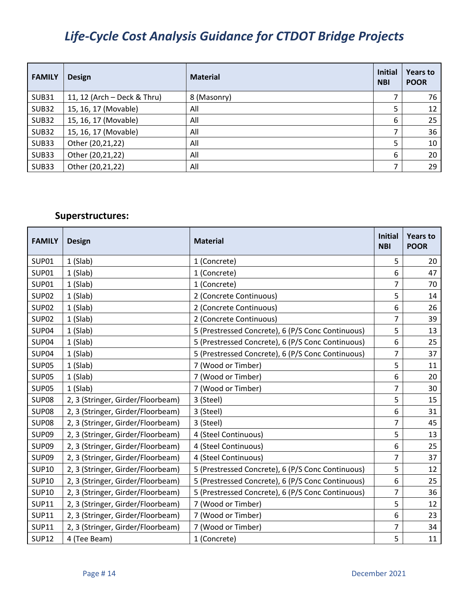| <b>FAMILY</b> | <b>Design</b>               | <b>Material</b> | <b>Initial</b><br><b>NBI</b> | <b>Years to</b><br><b>POOR</b> |
|---------------|-----------------------------|-----------------|------------------------------|--------------------------------|
| <b>SUB31</b>  | 11, 12 (Arch - Deck & Thru) | 8 (Masonry)     |                              | 76                             |
| <b>SUB32</b>  | 15, 16, 17 (Movable)        | All             | 5                            | 12                             |
| <b>SUB32</b>  | 15, 16, 17 (Movable)        | All             | 6                            | 25                             |
| <b>SUB32</b>  | 15, 16, 17 (Movable)        | All             | ⇁                            | 36                             |
| <b>SUB33</b>  | Other (20,21,22)            | All             | 5                            | 10                             |
| <b>SUB33</b>  | Other (20,21,22)            | All             | 6                            | 20                             |
| <b>SUB33</b>  | Other (20,21,22)            | All             |                              | 29                             |

## **Superstructures:**

| <b>FAMILY</b> | <b>Design</b>                     | <b>Material</b>                                   |                | <b>Years to</b><br><b>POOR</b> |
|---------------|-----------------------------------|---------------------------------------------------|----------------|--------------------------------|
| SUP01         | $1$ (Slab)                        | 1 (Concrete)                                      | 5              | 20                             |
| <b>SUP01</b>  | $1$ (Slab)                        | 1 (Concrete)                                      | 6              | 47                             |
| <b>SUP01</b>  | $1$ (Slab)                        | 1 (Concrete)                                      | 7              | 70                             |
| <b>SUP02</b>  | $1$ (Slab)                        | 2 (Concrete Continuous)                           | 5              | 14                             |
| <b>SUP02</b>  | $1$ (Slab)                        | 2 (Concrete Continuous)                           | 6              | 26                             |
| <b>SUP02</b>  | $1$ (Slab)                        | 2 (Concrete Continuous)                           | $\overline{7}$ | 39                             |
| <b>SUP04</b>  | $1$ (Slab)                        | 5 (Prestressed Concrete), 6 (P/S Conc Continuous) | 5              | 13                             |
| SUP04         | $1$ (Slab)                        | 5 (Prestressed Concrete), 6 (P/S Conc Continuous) | 6              | 25                             |
| <b>SUP04</b>  | $1$ (Slab)                        | 5 (Prestressed Concrete), 6 (P/S Conc Continuous) | $\overline{7}$ | 37                             |
| <b>SUP05</b>  | $1$ (Slab)                        | 7 (Wood or Timber)                                | 5              | 11                             |
| <b>SUP05</b>  | $1$ (Slab)                        | 7 (Wood or Timber)                                |                | 20                             |
| <b>SUP05</b>  | $1$ (Slab)                        | 7 (Wood or Timber)                                |                | 30                             |
| <b>SUP08</b>  | 2, 3 (Stringer, Girder/Floorbeam) | 3 (Steel)                                         | 5              | 15                             |
| <b>SUP08</b>  | 2, 3 (Stringer, Girder/Floorbeam) | 3 (Steel)                                         | 6              | 31                             |
| <b>SUP08</b>  | 2, 3 (Stringer, Girder/Floorbeam) | 3 (Steel)                                         | 7              | 45                             |
| <b>SUP09</b>  | 2, 3 (Stringer, Girder/Floorbeam) | 4 (Steel Continuous)                              | 5              | 13                             |
| <b>SUP09</b>  | 2, 3 (Stringer, Girder/Floorbeam) | 4 (Steel Continuous)                              | 6              | 25                             |
| <b>SUP09</b>  | 2, 3 (Stringer, Girder/Floorbeam) | 4 (Steel Continuous)                              | 7              | 37                             |
| <b>SUP10</b>  | 2, 3 (Stringer, Girder/Floorbeam) | 5 (Prestressed Concrete), 6 (P/S Conc Continuous) | 5              | 12                             |
| <b>SUP10</b>  | 2, 3 (Stringer, Girder/Floorbeam) | 5 (Prestressed Concrete), 6 (P/S Conc Continuous) | 6              | 25                             |
| <b>SUP10</b>  | 2, 3 (Stringer, Girder/Floorbeam) | 5 (Prestressed Concrete), 6 (P/S Conc Continuous) | $\overline{7}$ | 36                             |
| <b>SUP11</b>  | 2, 3 (Stringer, Girder/Floorbeam) | 7 (Wood or Timber)                                | 5              | 12                             |
| <b>SUP11</b>  | 2, 3 (Stringer, Girder/Floorbeam) | 7 (Wood or Timber)                                | 6              | 23                             |
| <b>SUP11</b>  | 2, 3 (Stringer, Girder/Floorbeam) | 7 (Wood or Timber)                                | $\overline{7}$ | 34                             |
| <b>SUP12</b>  | 4 (Tee Beam)                      | 1 (Concrete)                                      | 5              | 11                             |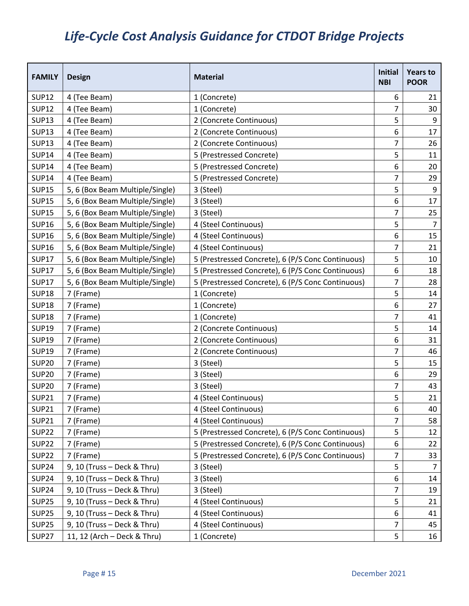| <b>FAMILY</b> | <b>Design</b>                   | <b>Material</b>                                   |                | <b>Years to</b><br><b>POOR</b> |
|---------------|---------------------------------|---------------------------------------------------|----------------|--------------------------------|
| <b>SUP12</b>  | 4 (Tee Beam)                    | 1 (Concrete)                                      | 6              | 21                             |
| <b>SUP12</b>  | 4 (Tee Beam)                    | 1 (Concrete)                                      | 7              | 30                             |
| <b>SUP13</b>  | 4 (Tee Beam)                    | 2 (Concrete Continuous)                           | 5              | 9                              |
| <b>SUP13</b>  | 4 (Tee Beam)                    | 2 (Concrete Continuous)                           | 6              | 17                             |
| <b>SUP13</b>  | 4 (Tee Beam)                    | 2 (Concrete Continuous)                           | $\overline{7}$ | 26                             |
| <b>SUP14</b>  | 4 (Tee Beam)                    | 5 (Prestressed Concrete)                          | 5              | 11                             |
| <b>SUP14</b>  | 4 (Tee Beam)                    | 5 (Prestressed Concrete)                          | 6              | 20                             |
| <b>SUP14</b>  | 4 (Tee Beam)                    | 5 (Prestressed Concrete)                          | $\overline{7}$ | 29                             |
| <b>SUP15</b>  | 5, 6 (Box Beam Multiple/Single) | 3 (Steel)                                         | 5              | $\boldsymbol{9}$               |
| <b>SUP15</b>  | 5, 6 (Box Beam Multiple/Single) | 3 (Steel)                                         | 6              | 17                             |
| <b>SUP15</b>  | 5, 6 (Box Beam Multiple/Single) | 3 (Steel)                                         | $\overline{7}$ | 25                             |
| <b>SUP16</b>  | 5, 6 (Box Beam Multiple/Single) | 4 (Steel Continuous)                              | 5              | $\overline{7}$                 |
| <b>SUP16</b>  | 5, 6 (Box Beam Multiple/Single) | 4 (Steel Continuous)                              | 6              | 15                             |
| <b>SUP16</b>  | 5, 6 (Box Beam Multiple/Single) | 4 (Steel Continuous)                              | $\overline{7}$ | 21                             |
| <b>SUP17</b>  | 5, 6 (Box Beam Multiple/Single) | 5 (Prestressed Concrete), 6 (P/S Conc Continuous) | 5              | 10                             |
| <b>SUP17</b>  | 5, 6 (Box Beam Multiple/Single) | 5 (Prestressed Concrete), 6 (P/S Conc Continuous) | 6              | 18                             |
| <b>SUP17</b>  | 5, 6 (Box Beam Multiple/Single) | 5 (Prestressed Concrete), 6 (P/S Conc Continuous) | 7              | 28                             |
| <b>SUP18</b>  | 7 (Frame)                       | 1 (Concrete)                                      |                | 14                             |
| <b>SUP18</b>  | 7 (Frame)                       | 1 (Concrete)                                      |                | 27                             |
| <b>SUP18</b>  | 7 (Frame)                       | 1 (Concrete)                                      | 7              | 41                             |
| <b>SUP19</b>  | 7 (Frame)                       | 2 (Concrete Continuous)                           | 5              | 14                             |
| <b>SUP19</b>  | 7 (Frame)                       | 2 (Concrete Continuous)                           | 6              | 31                             |
| <b>SUP19</b>  | 7 (Frame)                       | 2 (Concrete Continuous)                           | $\overline{7}$ | 46                             |
| <b>SUP20</b>  | 7 (Frame)                       | 3 (Steel)                                         | 5              | 15                             |
| <b>SUP20</b>  | 7 (Frame)                       | 3 (Steel)                                         | 6              | 29                             |
| <b>SUP20</b>  | 7 (Frame)                       | 3 (Steel)                                         | 7              | 43                             |
| <b>SUP21</b>  | 7 (Frame)                       | 4 (Steel Continuous)                              | 5              | 21                             |
| <b>SUP21</b>  | 7 (Frame)                       | 4 (Steel Continuous)                              | 6              | 40                             |
| <b>SUP21</b>  | 7 (Frame)                       | 4 (Steel Continuous)                              | 7              | 58                             |
| <b>SUP22</b>  | 7 (Frame)                       | 5 (Prestressed Concrete), 6 (P/S Conc Continuous) | 5              | 12                             |
| <b>SUP22</b>  | 7 (Frame)                       | 5 (Prestressed Concrete), 6 (P/S Conc Continuous) | 6              | 22                             |
| <b>SUP22</b>  | 7 (Frame)                       | 5 (Prestressed Concrete), 6 (P/S Conc Continuous) | $\overline{7}$ | 33                             |
| <b>SUP24</b>  | 9, 10 (Truss - Deck & Thru)     | 3 (Steel)                                         | 5              | $\overline{7}$                 |
| <b>SUP24</b>  | 9, 10 (Truss - Deck & Thru)     | 3 (Steel)                                         | 6              | 14                             |
| <b>SUP24</b>  | 9, 10 (Truss - Deck & Thru)     | 3 (Steel)                                         | $\overline{7}$ | 19                             |
| <b>SUP25</b>  | 9, 10 (Truss - Deck & Thru)     | 4 (Steel Continuous)                              | 5              | 21                             |
| <b>SUP25</b>  | 9, 10 (Truss - Deck & Thru)     | 4 (Steel Continuous)                              | 6              | 41                             |
| <b>SUP25</b>  | 9, 10 (Truss - Deck & Thru)     | 4 (Steel Continuous)                              | $\overline{7}$ | 45                             |
| <b>SUP27</b>  | 11, 12 (Arch - Deck & Thru)     | 1 (Concrete)                                      | 5              | 16                             |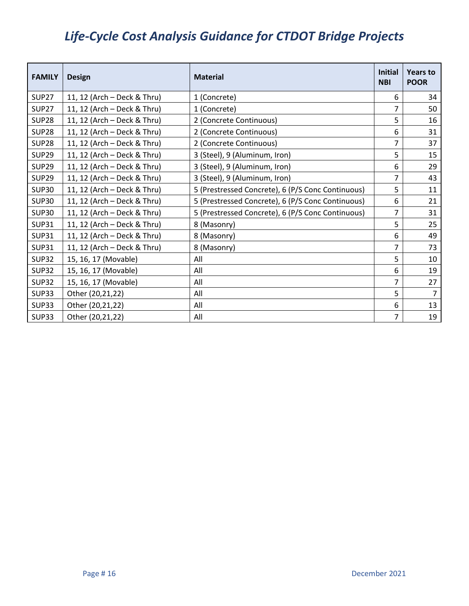| <b>FAMILY</b> | <b>Design</b>               | <b>Material</b>                                   |                | Years to<br><b>POOR</b> |
|---------------|-----------------------------|---------------------------------------------------|----------------|-------------------------|
| <b>SUP27</b>  | 11, 12 (Arch - Deck & Thru) | 1 (Concrete)                                      | 6              | 34                      |
| <b>SUP27</b>  | 11, 12 (Arch - Deck & Thru) | 1 (Concrete)                                      | 7              | 50                      |
| <b>SUP28</b>  | 11, 12 (Arch - Deck & Thru) | 2 (Concrete Continuous)                           | 5              | 16                      |
| <b>SUP28</b>  | 11, 12 (Arch - Deck & Thru) | 2 (Concrete Continuous)                           | 6              | 31                      |
| <b>SUP28</b>  | 11, 12 (Arch - Deck & Thru) | 2 (Concrete Continuous)                           | $\overline{7}$ | 37                      |
| <b>SUP29</b>  | 11, 12 (Arch - Deck & Thru) | 3 (Steel), 9 (Aluminum, Iron)                     | 5              | 15                      |
| <b>SUP29</b>  | 11, 12 (Arch - Deck & Thru) | 3 (Steel), 9 (Aluminum, Iron)                     | 6              | 29                      |
| <b>SUP29</b>  | 11, 12 (Arch - Deck & Thru) | 3 (Steel), 9 (Aluminum, Iron)                     | 7              | 43                      |
| <b>SUP30</b>  | 11, 12 (Arch - Deck & Thru) | 5 (Prestressed Concrete), 6 (P/S Conc Continuous) | 5              | 11                      |
| <b>SUP30</b>  | 11, 12 (Arch - Deck & Thru) | 5 (Prestressed Concrete), 6 (P/S Conc Continuous) | 6              | 21                      |
| <b>SUP30</b>  | 11, 12 (Arch - Deck & Thru) | 5 (Prestressed Concrete), 6 (P/S Conc Continuous) | 7              | 31                      |
| <b>SUP31</b>  | 11, 12 (Arch - Deck & Thru) | 8 (Masonry)                                       | 5              | 25                      |
| <b>SUP31</b>  | 11, 12 (Arch - Deck & Thru) | 8 (Masonry)                                       | 6              | 49                      |
| <b>SUP31</b>  | 11, 12 (Arch - Deck & Thru) | 8 (Masonry)                                       | $\overline{7}$ | 73                      |
| <b>SUP32</b>  | 15, 16, 17 (Movable)        | All                                               | 5              | 10                      |
| <b>SUP32</b>  | 15, 16, 17 (Movable)        | All                                               | 6              | 19                      |
| <b>SUP32</b>  | 15, 16, 17 (Movable)        | All                                               | $\overline{7}$ | 27                      |
| <b>SUP33</b>  | Other (20,21,22)            | All                                               | 5              | $\overline{7}$          |
| <b>SUP33</b>  | Other (20,21,22)            | All                                               | 6              | 13                      |
| <b>SUP33</b>  | Other (20,21,22)            | All                                               | 7              | 19                      |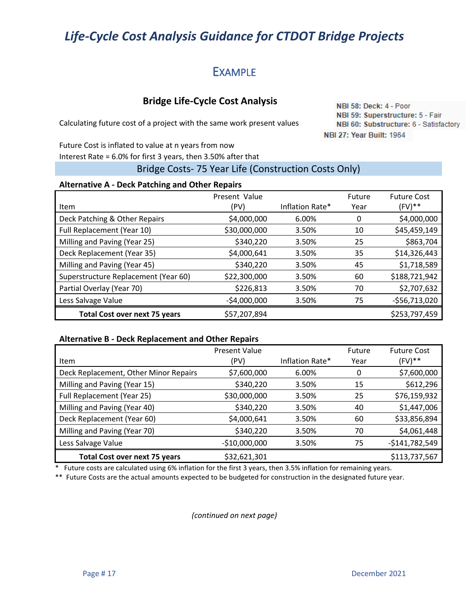## **EXAMPLE**

## **Bridge Life-Cycle Cost Analysis**

Calculating future cost of a project with the same work present values

NBI 58: Deck: 4 - Poor NBI 59: Superstructure: 5 - Fair NBI 60: Substructure: 6 - Satisfactory NBI 27: Year Built: 1964

Future Cost is inflated to value at n years from now Interest Rate = 6.0% for first 3 years, then 3.50% after that

## Bridge Costs- 75 Year Life (Construction Costs Only)

#### **Alternative A - Deck Patching and Other Repairs**

| Item                                 | Present Value<br>(PV) | Inflation Rate* | Future<br>Year | <b>Future Cost</b><br>$(FV)$ ** |
|--------------------------------------|-----------------------|-----------------|----------------|---------------------------------|
| Deck Patching & Other Repairs        | \$4,000,000           | 6.00%           | 0              | \$4,000,000                     |
| Full Replacement (Year 10)           | \$30,000,000          | 3.50%           | 10             | \$45,459,149                    |
| Milling and Paving (Year 25)         | \$340,220             | 3.50%           | 25             | \$863,704                       |
| Deck Replacement (Year 35)           | \$4,000,641           | 3.50%           | 35             | \$14,326,443                    |
| Milling and Paving (Year 45)         | \$340,220             | 3.50%           | 45             | \$1,718,589                     |
| Superstructure Replacement (Year 60) | \$22,300,000          | 3.50%           | 60             | \$188,721,942                   |
| Partial Overlay (Year 70)            | \$226,813             | 3.50%           | 70             | \$2,707,632                     |
| Less Salvage Value                   | $-$4,000,000$         | 3.50%           | 75             | $-556,713,020$                  |
| <b>Total Cost over next 75 years</b> | \$57,207,894          |                 |                | \$253,797,459                   |

#### **Alternative B - Deck Replacement and Other Repairs**

|                                       | <b>Present Value</b> |                 | Future | <b>Future Cost</b> |
|---------------------------------------|----------------------|-----------------|--------|--------------------|
| <b>Item</b>                           | (PV)                 | Inflation Rate* | Year   | $(FV)$ **          |
| Deck Replacement, Other Minor Repairs | \$7,600,000          | 6.00%           | 0      | \$7,600,000        |
| Milling and Paving (Year 15)          | \$340,220            | 3.50%           | 15     | \$612,296          |
| Full Replacement (Year 25)            | \$30,000,000         | 3.50%           | 25     | \$76,159,932       |
| Milling and Paving (Year 40)          | \$340,220            | 3.50%           | 40     | \$1,447,006        |
| Deck Replacement (Year 60)            | \$4,000,641          | 3.50%           | 60     | \$33,856,894       |
| Milling and Paving (Year 70)          | \$340,220            | 3.50%           | 70     | \$4,061,448        |
| Less Salvage Value                    | $-$10,000,000$       | 3.50%           | 75     | $-5141,782,549$    |
| <b>Total Cost over next 75 years</b>  | \$32,621,301         |                 |        | \$113,737,567      |

\* Future costs are calculated using 6% inflation for the first 3 years, then 3.5% inflation for remaining years.

\*\* Future Costs are the actual amounts expected to be budgeted for construction in the designated future year.

*(continued on next page)*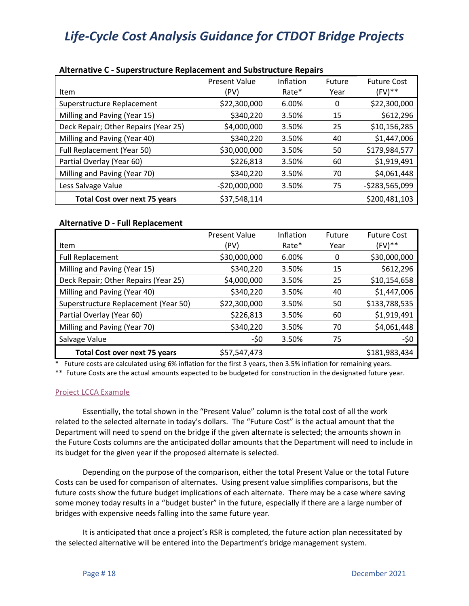| ARCHING C – DUPCI DU MOLUI C'HOPINOCHIOH, UNU DUMBU UGUN C'HOPUN D |                      |           |        |                    |  |  |
|--------------------------------------------------------------------|----------------------|-----------|--------|--------------------|--|--|
|                                                                    | <b>Present Value</b> | Inflation | Future | <b>Future Cost</b> |  |  |
| <b>Item</b>                                                        | (PV)                 | Rate*     | Year   | $(FV)^{**}$        |  |  |
| Superstructure Replacement                                         | \$22,300,000         | 6.00%     | 0      | \$22,300,000       |  |  |
| Milling and Paving (Year 15)                                       | \$340,220            | 3.50%     | 15     | \$612,296          |  |  |
| Deck Repair; Other Repairs (Year 25)                               | \$4,000,000          | 3.50%     | 25     | \$10,156,285       |  |  |
| Milling and Paving (Year 40)                                       | \$340,220            | 3.50%     | 40     | \$1,447,006        |  |  |
| Full Replacement (Year 50)                                         | \$30,000,000         | 3.50%     | 50     | \$179,984,577      |  |  |
| Partial Overlay (Year 60)                                          | \$226,813            | 3.50%     | 60     | \$1,919,491        |  |  |
| Milling and Paving (Year 70)                                       | \$340,220            | 3.50%     | 70     | \$4,061,448        |  |  |
| Less Salvage Value                                                 | $-$20,000,000$       | 3.50%     | 75     | $-5283,565,099$    |  |  |
| <b>Total Cost over next 75 years</b>                               | \$37,548,114         |           |        | \$200,481,103      |  |  |

#### **Alternative C - Superstructure Replacement and Substructure Repairs**

### **Alternative D - Full Replacement**

|                                      | <b>Present Value</b> | Inflation | Future | <b>Future Cost</b> |
|--------------------------------------|----------------------|-----------|--------|--------------------|
| Item                                 | (PV)                 | Rate*     | Year   | $(FV)**$           |
| <b>Full Replacement</b>              | \$30,000,000         | 6.00%     | 0      | \$30,000,000       |
| Milling and Paving (Year 15)         | \$340,220            | 3.50%     | 15     | \$612,296          |
| Deck Repair; Other Repairs (Year 25) | \$4,000,000          | 3.50%     | 25     | \$10,154,658       |
| Milling and Paving (Year 40)         | \$340,220            | 3.50%     | 40     | \$1,447,006        |
| Superstructure Replacement (Year 50) | \$22,300,000         | 3.50%     | 50     | \$133,788,535      |
| Partial Overlay (Year 60)            | \$226,813            | 3.50%     | 60     | \$1,919,491        |
| Milling and Paving (Year 70)         | \$340,220            | 3.50%     | 70     | \$4,061,448        |
| Salvage Value                        | -\$0                 | 3.50%     | 75     | -\$0               |
| <b>Total Cost over next 75 years</b> | \$57,547,473         |           |        | \$181,983,434      |

\* Future costs are calculated using 6% inflation for the first 3 years, then 3.5% inflation for remaining years.

\*\* Future Costs are the actual amounts expected to be budgeted for construction in the designated future year.

#### [Project LCCA Example](https://ctgovexec.sharepoint.com/sites/DOTBridgeManagement/Shared%20Documents/Bridge%20Management/Life-Cycle%20Cost%20Analysis/Project%20LCCA%20Example.xlsx)

Essentially, the total shown in the "Present Value" column is the total cost of all the work related to the selected alternate in today's dollars. The "Future Cost" is the actual amount that the Department will need to spend on the bridge if the given alternate is selected; the amounts shown in the Future Costs columns are the anticipated dollar amounts that the Department will need to include in its budget for the given year if the proposed alternate is selected.

Depending on the purpose of the comparison, either the total Present Value or the total Future Costs can be used for comparison of alternates. Using present value simplifies comparisons, but the future costs show the future budget implications of each alternate. There may be a case where saving some money today results in a "budget buster" in the future, especially if there are a large number of bridges with expensive needs falling into the same future year.

It is anticipated that once a project's RSR is completed, the future action plan necessitated by the selected alternative will be entered into the Department's bridge management system.